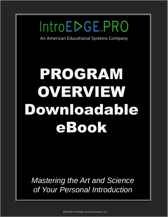## IntroEDGE,PRO

An American Educational Systems Company

# PROGRAM OVERVIEW Downloadable eBook

*Mastering the Art and Science of Your Personal Introduction*

©2020 Berry Fowler and Associates, Inc.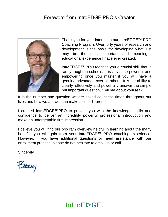#### Foreword from IntroEDGE PRO's Creator



Thank you for your interest in our IntroEDGE™ PRO Coaching Program. Over forty years of research and development is the basis for developing what just may be the most important and meaningful educational experience I have ever created.

IntroEDGE™ PRO teaches you a crucial skill that is rarely taught in schools. It is a skill so powerful and empowering once you master it you will have a genuine advantage over all others. It is the ability to clearly, effectively and powerfully answer the simple but important question, "Tell me about yourself?".

It is the number one question we are asked countless times throughout our lives and how we answer can make all the difference.

I created IntroEDGE™PRO to provide you with the knowledge, skills and confidence to deliver an incredibly powerful professional introduction and make an unforgettable first impression.

I believe you will find our program overview helpful in learning about the many benefits you will gain from your IntroEDGE™ PRO coaching experience. However, if you have additional questions or need assistance with our enrollment process, please do not hesitate to email us or call.

Sincerely,

Berry

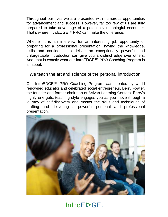Throughout our lives we are presented with numerous opportunities for advancement and success. However, far too few of us are fully prepared to take advantage of a potentially meaningful encounter. That's where IntroEDGE™ PRO can make the difference.

Whether it is an interview for an interesting job opportunity or preparing for a professional presentation, having the knowledge, skills and confidence to deliver an exceptionally powerful and unforgettable introduction can give you a distinct edge over others. And, that is exactly what our IntroEDGE™ PRO Coaching Program is all about.

We teach the art and science of the personal introduction.

Our IntroEDGE™ PRO Coaching Program was created by world renowned educator and celebrated social entrepreneur, Berry Fowler, the founder and former chairman of Sylvan Learning Centers. Berry's highly energetic teaching style engages you as you move through a journey of self-discovery and master the skills and techniques of crafting and delivering a powerful personal and professional presentation.

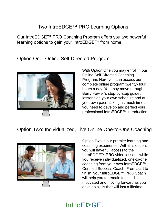#### Two IntroEDGE™ PRO Learning Options

Our IntroEDGE™ PRO Coaching Program offers you two powerful learning options to gain your IntroEDGE™ from home.

Option One: Online Self-Directed Program



With Option One you may enroll in our Online Self-Directed Coaching Program. Here you can access our complete online program twenty- four hours a day. You may move through Berry Fowler's step-by-step guided lessons on your own schedule and at your own pace, taking as much time as you need to develop and perfect your professional IntroEDGE™ introduction.

#### Option Two: Individualized, Live Online One-to-One Coaching



Option Two is our premier learning and coaching experience. With this option, you will have full access to the IntroEDGE™ PRO video lessons while you receive individualized, one-to-one coaching from your own IntroEDGE™ Certified Success Coach. From start to finish, your IntroEDGE™ PRO Coach will help you to remain focused, motivated and moving forward as you develop skills that will last a lifetime.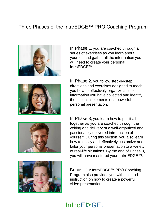#### Three Phases of the IntroEDGE™ PRO Coaching Program



In Phase 1, you are coached through a series of exercises as you learn about yourself and gather all the information you will need to create your personal IntroEDGE™.



In Phase 2, you follow step-by-step directions and exercises designed to teach you how to effectively organize all the information you have collected and identify the essential elements of a powerful personal presentation.



In Phase 3, you learn how to pull it all together as you are coached through the writing and delivery of a well-organized and passionately delivered introduction of yourself. During this section, you also learn how to easily and effectively customize and tailor your personal presentation to a variety of real-life situations. By the end of Phase 3, you will have mastered your IntroEDGE™.



Bonus: Our IntroEDGE™ PRO Coaching Program also provides you with tips and instruction on how to create a powerful video presentation.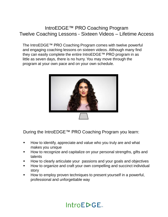#### IntroEDGE™ PRO Coaching Program Twelve Coaching Lessons - Sixteen Videos – Lifetime Access

The IntroEDGE™ PRO Coaching Program comes with twelve powerful and engaging coaching lessons on sixteen videos. Although many find they can easily complete the entire IntroEDGE™ PRO program in as little as seven days, there is no hurry. You may move through the program at your own pace and on your own schedule.



During the IntroEDGE™ PRO Coaching Program you learn:

- **How to identify, appreciate and value who you truly are and what** makes you unique
- How to recognize and capitalize on your personal strengths, gifts and talents
- How to clearly articulate your passions and your goals and objectives
- How to organize and craft your own compelling and succinct individual story
- How to employ proven techniques to present yourself in a powerful, professional and unforgettable way